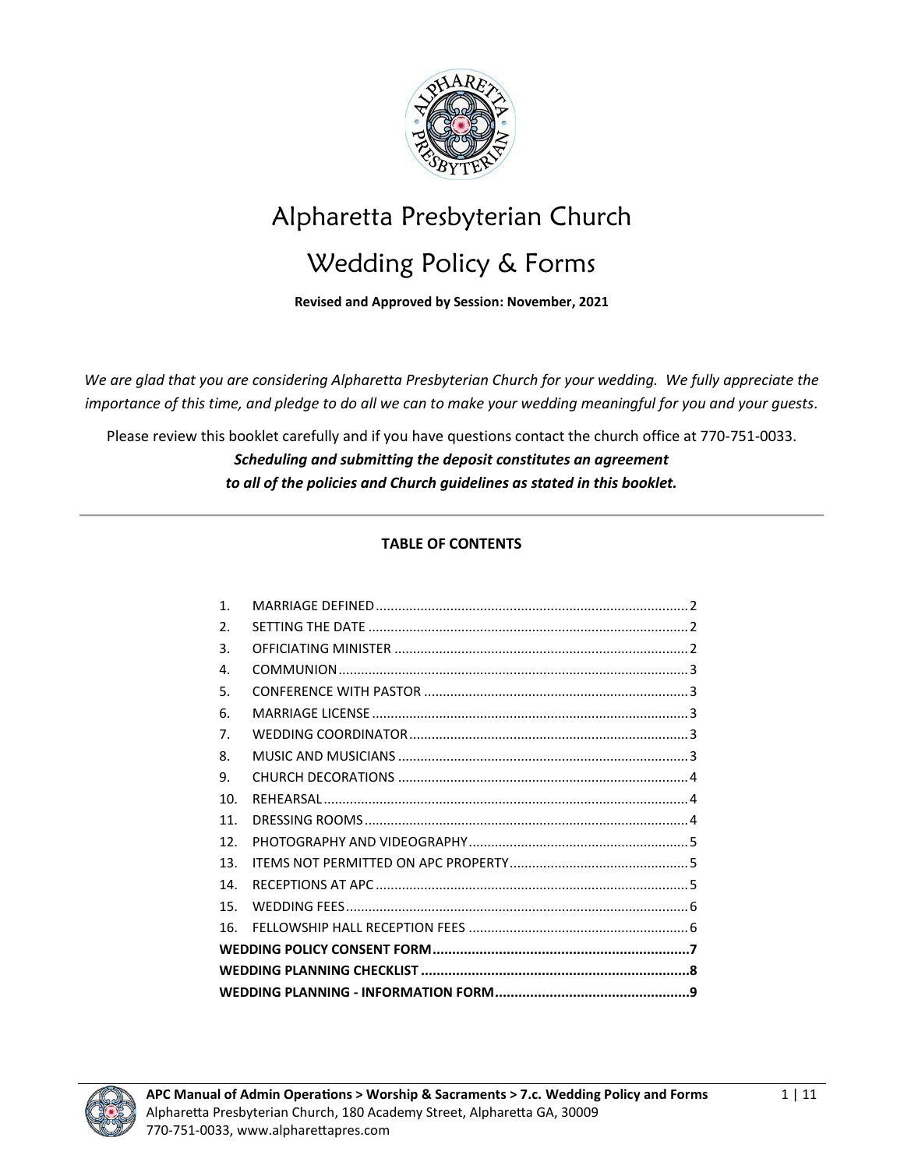

# Alpharetta Presbyterian Church

# Wedding Policy & Forms

**Revised and Approved by Session: November, 2021**

*We are glad that you are considering Alpharetta Presbyterian Church for your wedding. We fully appreciate the importance of this time, and pledge to do all we can to make your wedding meaningful for you and your guests.* 

Please review this booklet carefully and if you have questions contact the church office at 770-751-0033. *Scheduling and submitting the deposit constitutes an agreement to all of the policies and Church guidelines as stated in this booklet.* 

### **TABLE OF CONTENTS**

| $\mathbf{1}$ .        |  |  |
|-----------------------|--|--|
| $\mathcal{P}_{\cdot}$ |  |  |
| 3.                    |  |  |
| 4.                    |  |  |
| 5.                    |  |  |
| 6.                    |  |  |
| 7.                    |  |  |
| 8.                    |  |  |
| 9.                    |  |  |
| 10 <sub>1</sub>       |  |  |
| 11.                   |  |  |
| 12 <sup>1</sup>       |  |  |
| 13                    |  |  |
| 14                    |  |  |
| 15                    |  |  |
| 16                    |  |  |
|                       |  |  |
|                       |  |  |
|                       |  |  |

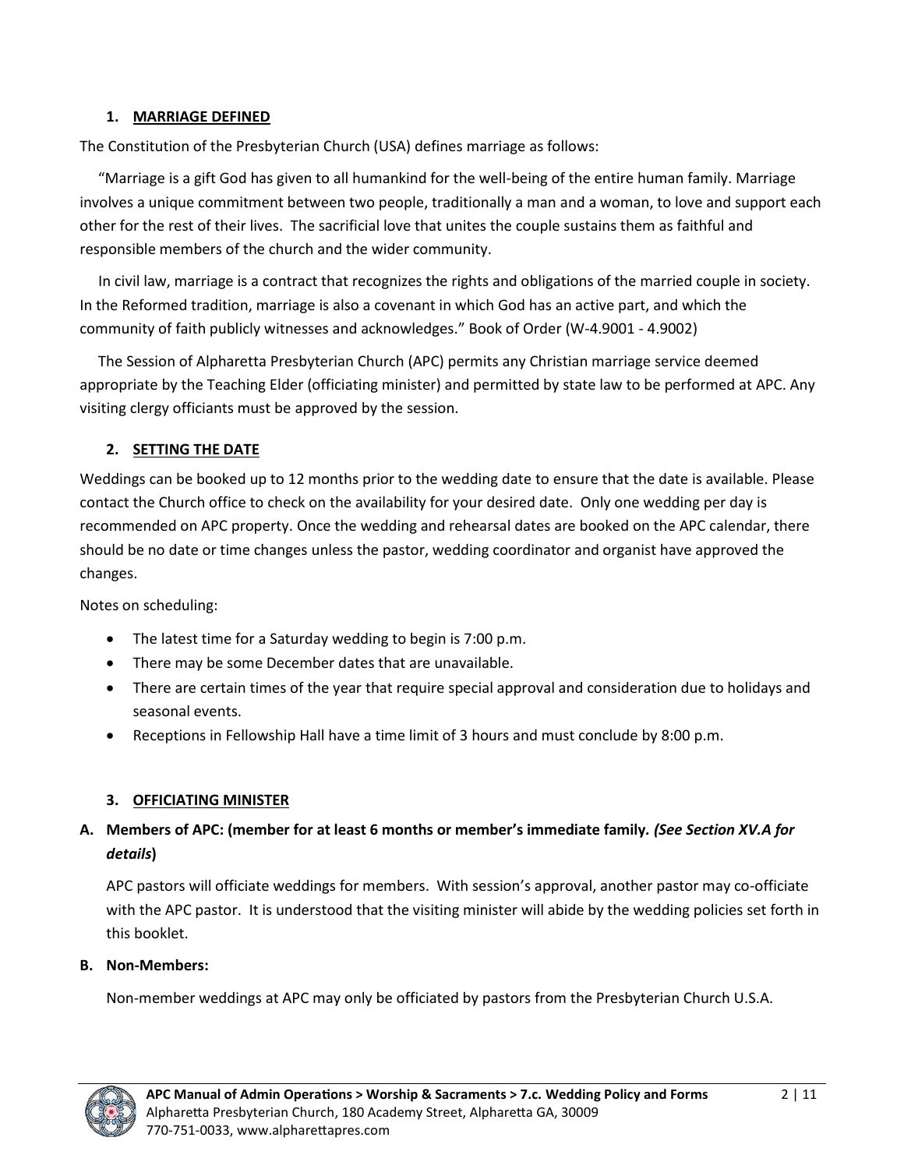#### <span id="page-1-0"></span>**1. MARRIAGE DEFINED**

The Constitution of the Presbyterian Church (USA) defines marriage as follows:

 "Marriage is a gift God has given to all humankind for the well-being of the entire human family. Marriage involves a unique commitment between two people, traditionally a man and a woman, to love and support each other for the rest of their lives. The sacrificial love that unites the couple sustains them as faithful and responsible members of the church and the wider community.

 In civil law, marriage is a contract that recognizes the rights and obligations of the married couple in society. In the Reformed tradition, marriage is also a covenant in which God has an active part, and which the community of faith publicly witnesses and acknowledges." Book of Order (W-4.9001 - 4.9002)

 The Session of Alpharetta Presbyterian Church (APC) permits any Christian marriage service deemed appropriate by the Teaching Elder (officiating minister) and permitted by state law to be performed at APC. Any visiting clergy officiants must be approved by the session.

#### <span id="page-1-1"></span>**2. SETTING THE DATE**

Weddings can be booked up to 12 months prior to the wedding date to ensure that the date is available. Please contact the Church office to check on the availability for your desired date. Only one wedding per day is recommended on APC property. Once the wedding and rehearsal dates are booked on the APC calendar, there should be no date or time changes unless the pastor, wedding coordinator and organist have approved the changes.

Notes on scheduling:

- The latest time for a Saturday wedding to begin is 7:00 p.m.
- There may be some December dates that are unavailable.
- There are certain times of the year that require special approval and consideration due to holidays and seasonal events.
- Receptions in Fellowship Hall have a time limit of 3 hours and must conclude by 8:00 p.m.

### <span id="page-1-2"></span>**3. OFFICIATING MINISTER**

# **A. Members of APC: (member for at least 6 months or member's immediate family***. (See Section XV.A for details***)**

APC pastors will officiate weddings for members. With session's approval, another pastor may co-officiate with the APC pastor. It is understood that the visiting minister will abide by the wedding policies set forth in this booklet.

#### **B. Non-Members:**

Non-member weddings at APC may only be officiated by pastors from the Presbyterian Church U.S.A.

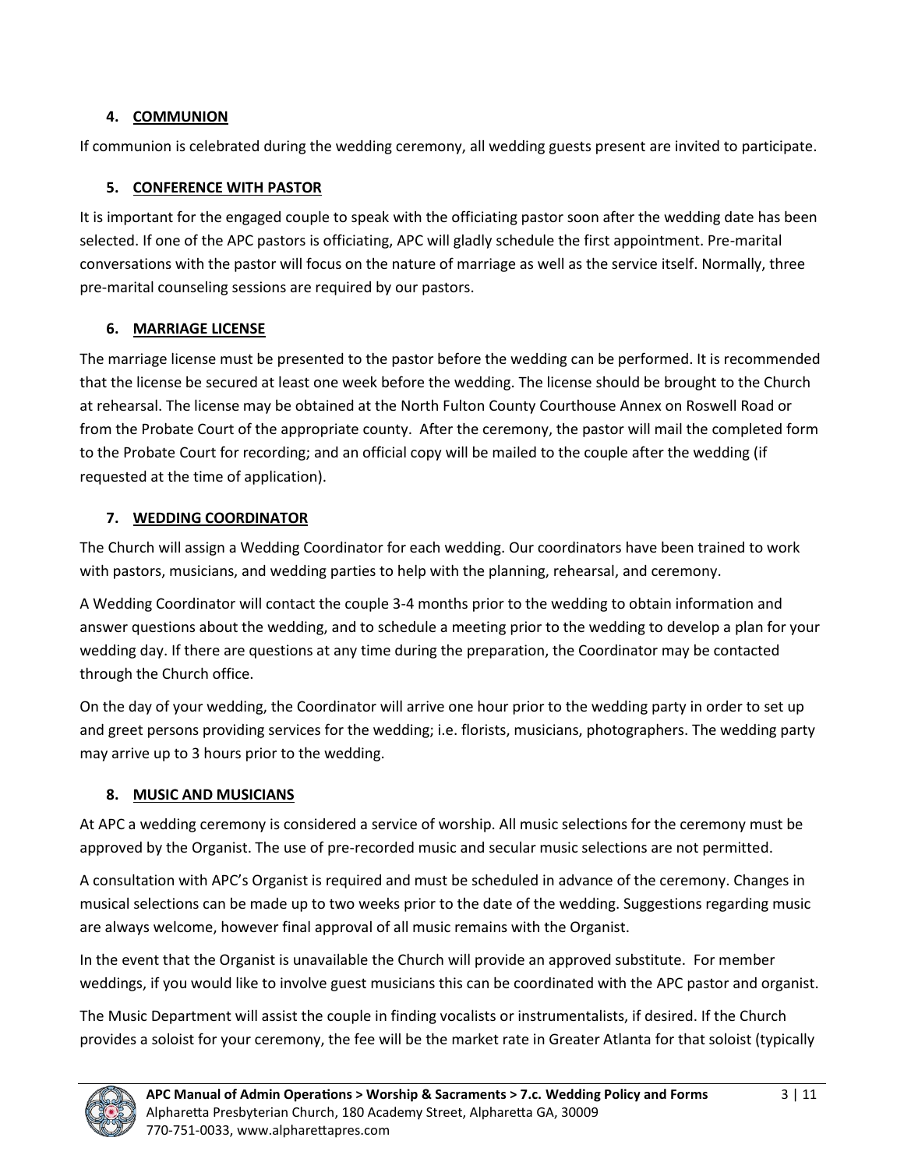#### <span id="page-2-0"></span>**4. COMMUNION**

If communion is celebrated during the wedding ceremony, all wedding guests present are invited to participate.

## <span id="page-2-1"></span>**5. CONFERENCE WITH PASTOR**

It is important for the engaged couple to speak with the officiating pastor soon after the wedding date has been selected. If one of the APC pastors is officiating, APC will gladly schedule the first appointment. Pre-marital conversations with the pastor will focus on the nature of marriage as well as the service itself. Normally, three pre-marital counseling sessions are required by our pastors.

# <span id="page-2-2"></span>**6. MARRIAGE LICENSE**

The marriage license must be presented to the pastor before the wedding can be performed. It is recommended that the license be secured at least one week before the wedding. The license should be brought to the Church at rehearsal. The license may be obtained at the North Fulton County Courthouse Annex on Roswell Road or from the Probate Court of the appropriate county. After the ceremony, the pastor will mail the completed form to the Probate Court for recording; and an official copy will be mailed to the couple after the wedding (if requested at the time of application).

# <span id="page-2-3"></span>**7. WEDDING COORDINATOR**

The Church will assign a Wedding Coordinator for each wedding. Our coordinators have been trained to work with pastors, musicians, and wedding parties to help with the planning, rehearsal, and ceremony.

A Wedding Coordinator will contact the couple 3-4 months prior to the wedding to obtain information and answer questions about the wedding, and to schedule a meeting prior to the wedding to develop a plan for your wedding day. If there are questions at any time during the preparation, the Coordinator may be contacted through the Church office.

On the day of your wedding, the Coordinator will arrive one hour prior to the wedding party in order to set up and greet persons providing services for the wedding; i.e. florists, musicians, photographers. The wedding party may arrive up to 3 hours prior to the wedding.

# <span id="page-2-4"></span>**8. MUSIC AND MUSICIANS**

At APC a wedding ceremony is considered a service of worship. All music selections for the ceremony must be approved by the Organist. The use of pre-recorded music and secular music selections are not permitted.

A consultation with APC's Organist is required and must be scheduled in advance of the ceremony. Changes in musical selections can be made up to two weeks prior to the date of the wedding. Suggestions regarding music are always welcome, however final approval of all music remains with the Organist.

In the event that the Organist is unavailable the Church will provide an approved substitute. For member weddings, if you would like to involve guest musicians this can be coordinated with the APC pastor and organist.

The Music Department will assist the couple in finding vocalists or instrumentalists, if desired. If the Church provides a soloist for your ceremony, the fee will be the market rate in Greater Atlanta for that soloist (typically

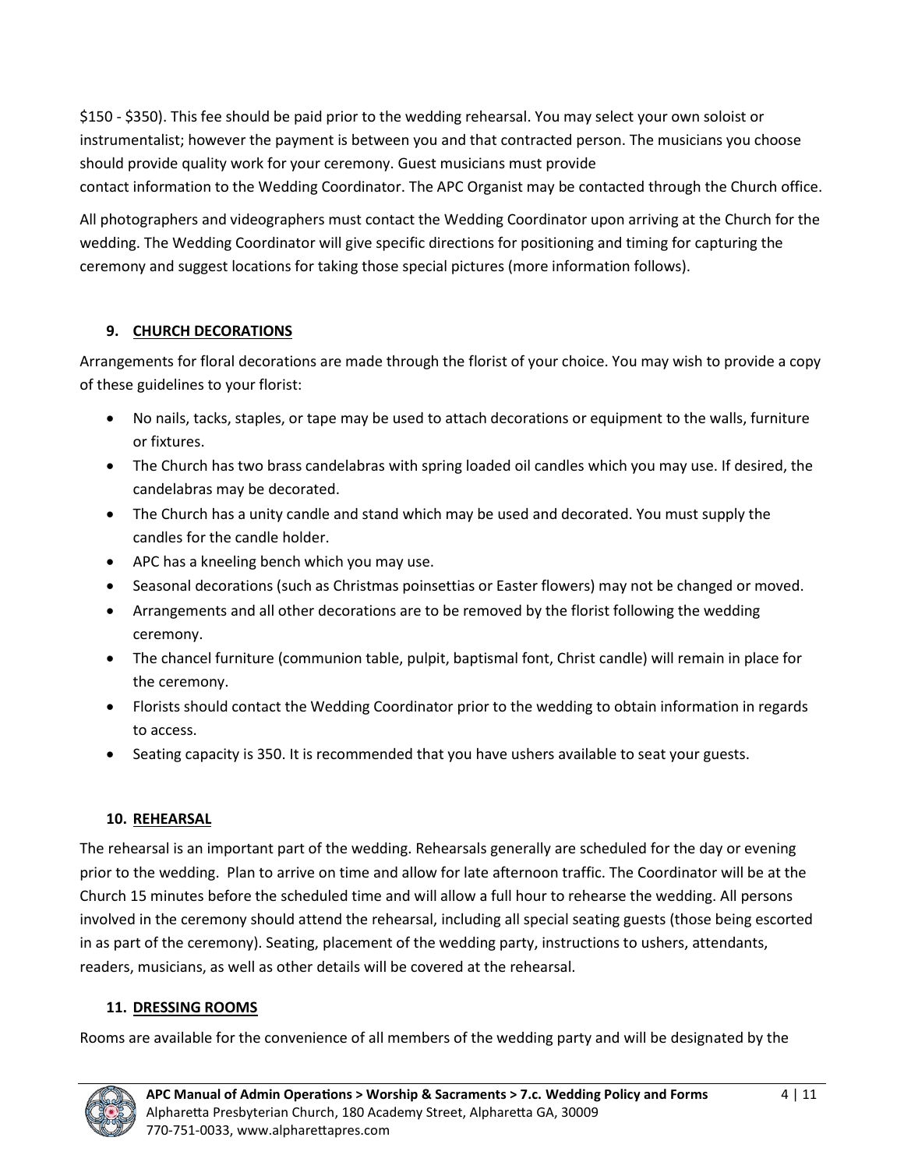\$150 - \$350). This fee should be paid prior to the wedding rehearsal. You may select your own soloist or instrumentalist; however the payment is between you and that contracted person. The musicians you choose should provide quality work for your ceremony. Guest musicians must provide contact information to the Wedding Coordinator. The APC Organist may be contacted through the Church office.

All photographers and videographers must contact the Wedding Coordinator upon arriving at the Church for the wedding. The Wedding Coordinator will give specific directions for positioning and timing for capturing the ceremony and suggest locations for taking those special pictures (more information follows).

### <span id="page-3-0"></span>**9. CHURCH DECORATIONS**

Arrangements for floral decorations are made through the florist of your choice. You may wish to provide a copy of these guidelines to your florist:

- No nails, tacks, staples, or tape may be used to attach decorations or equipment to the walls, furniture or fixtures.
- The Church has two brass candelabras with spring loaded oil candles which you may use. If desired, the candelabras may be decorated.
- The Church has a unity candle and stand which may be used and decorated. You must supply the candles for the candle holder.
- APC has a kneeling bench which you may use.
- Seasonal decorations (such as Christmas poinsettias or Easter flowers) may not be changed or moved.
- Arrangements and all other decorations are to be removed by the florist following the wedding ceremony.
- The chancel furniture (communion table, pulpit, baptismal font, Christ candle) will remain in place for the ceremony.
- Florists should contact the Wedding Coordinator prior to the wedding to obtain information in regards to access.
- Seating capacity is 350. It is recommended that you have ushers available to seat your guests.

#### <span id="page-3-1"></span>**10. REHEARSAL**

The rehearsal is an important part of the wedding. Rehearsals generally are scheduled for the day or evening prior to the wedding. Plan to arrive on time and allow for late afternoon traffic. The Coordinator will be at the Church 15 minutes before the scheduled time and will allow a full hour to rehearse the wedding. All persons involved in the ceremony should attend the rehearsal, including all special seating guests (those being escorted in as part of the ceremony). Seating, placement of the wedding party, instructions to ushers, attendants, readers, musicians, as well as other details will be covered at the rehearsal.

#### <span id="page-3-2"></span>**11. DRESSING ROOMS**

Rooms are available for the convenience of all members of the wedding party and will be designated by the

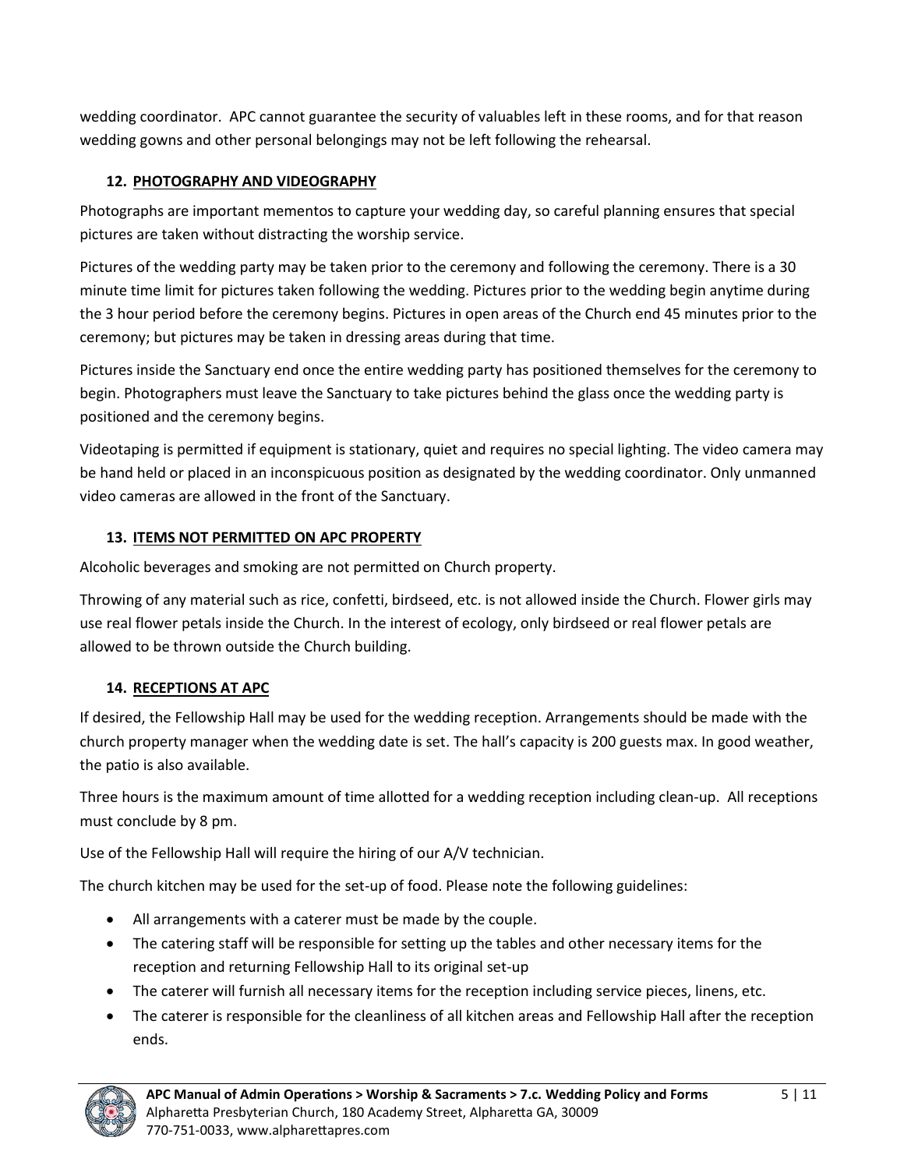wedding coordinator. APC cannot guarantee the security of valuables left in these rooms, and for that reason wedding gowns and other personal belongings may not be left following the rehearsal.

## <span id="page-4-0"></span>**12. PHOTOGRAPHY AND VIDEOGRAPHY**

Photographs are important mementos to capture your wedding day, so careful planning ensures that special pictures are taken without distracting the worship service.

Pictures of the wedding party may be taken prior to the ceremony and following the ceremony. There is a 30 minute time limit for pictures taken following the wedding. Pictures prior to the wedding begin anytime during the 3 hour period before the ceremony begins. Pictures in open areas of the Church end 45 minutes prior to the ceremony; but pictures may be taken in dressing areas during that time.

Pictures inside the Sanctuary end once the entire wedding party has positioned themselves for the ceremony to begin. Photographers must leave the Sanctuary to take pictures behind the glass once the wedding party is positioned and the ceremony begins.

Videotaping is permitted if equipment is stationary, quiet and requires no special lighting. The video camera may be hand held or placed in an inconspicuous position as designated by the wedding coordinator. Only unmanned video cameras are allowed in the front of the Sanctuary.

### <span id="page-4-1"></span>**13. ITEMS NOT PERMITTED ON APC PROPERTY**

Alcoholic beverages and smoking are not permitted on Church property.

Throwing of any material such as rice, confetti, birdseed, etc. is not allowed inside the Church. Flower girls may use real flower petals inside the Church. In the interest of ecology, only birdseed or real flower petals are allowed to be thrown outside the Church building.

# <span id="page-4-2"></span>**14. RECEPTIONS AT APC**

If desired, the Fellowship Hall may be used for the wedding reception. Arrangements should be made with the church property manager when the wedding date is set. The hall's capacity is 200 guests max. In good weather, the patio is also available.

Three hours is the maximum amount of time allotted for a wedding reception including clean-up. All receptions must conclude by 8 pm.

Use of the Fellowship Hall will require the hiring of our A/V technician.

The church kitchen may be used for the set-up of food. Please note the following guidelines:

- All arrangements with a caterer must be made by the couple.
- The catering staff will be responsible for setting up the tables and other necessary items for the reception and returning Fellowship Hall to its original set-up
- The caterer will furnish all necessary items for the reception including service pieces, linens, etc.
- The caterer is responsible for the cleanliness of all kitchen areas and Fellowship Hall after the reception ends.

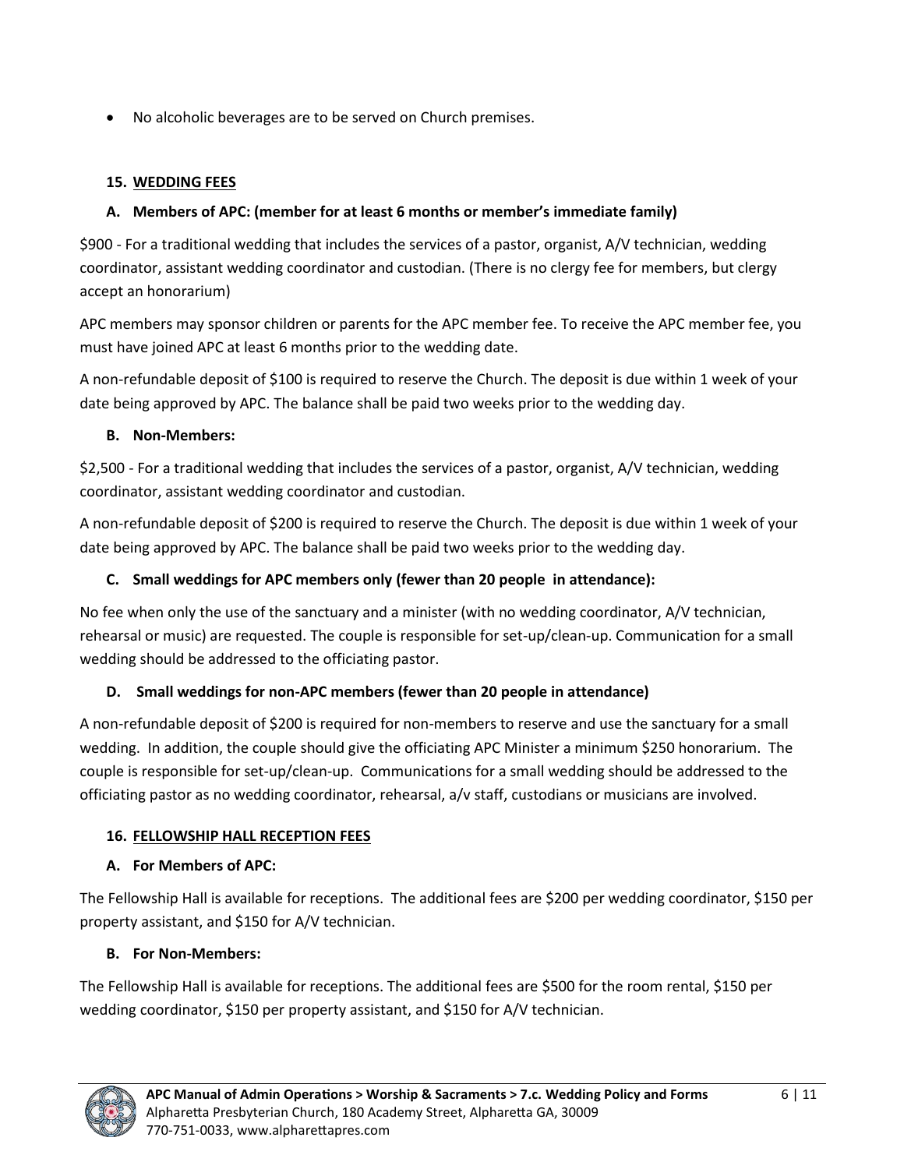• No alcoholic beverages are to be served on Church premises.

## <span id="page-5-0"></span>**15. WEDDING FEES**

### **A. Members of APC: (member for at least 6 months or member's immediate family)**

\$900 - For a traditional wedding that includes the services of a pastor, organist, A/V technician, wedding coordinator, assistant wedding coordinator and custodian. (There is no clergy fee for members, but clergy accept an honorarium)

APC members may sponsor children or parents for the APC member fee. To receive the APC member fee, you must have joined APC at least 6 months prior to the wedding date.

A non-refundable deposit of \$100 is required to reserve the Church. The deposit is due within 1 week of your date being approved by APC. The balance shall be paid two weeks prior to the wedding day.

### **B. Non-Members:**

\$2,500 - For a traditional wedding that includes the services of a pastor, organist, A/V technician, wedding coordinator, assistant wedding coordinator and custodian.

A non-refundable deposit of \$200 is required to reserve the Church. The deposit is due within 1 week of your date being approved by APC. The balance shall be paid two weeks prior to the wedding day.

# **C. Small weddings for APC members only (fewer than 20 people in attendance):**

No fee when only the use of the sanctuary and a minister (with no wedding coordinator, A/V technician, rehearsal or music) are requested. The couple is responsible for set-up/clean-up. Communication for a small wedding should be addressed to the officiating pastor.

# **D. Small weddings for non-APC members (fewer than 20 people in attendance)**

A non-refundable deposit of \$200 is required for non-members to reserve and use the sanctuary for a small wedding. In addition, the couple should give the officiating APC Minister a minimum \$250 honorarium. The couple is responsible for set-up/clean-up. Communications for a small wedding should be addressed to the officiating pastor as no wedding coordinator, rehearsal, a/v staff, custodians or musicians are involved.

# <span id="page-5-1"></span>**16. FELLOWSHIP HALL RECEPTION FEES**

# **A. For Members of APC:**

The Fellowship Hall is available for receptions. The additional fees are \$200 per wedding coordinator, \$150 per property assistant, and \$150 for A/V technician.

# **B. For Non-Members:**

The Fellowship Hall is available for receptions. The additional fees are \$500 for the room rental, \$150 per wedding coordinator, \$150 per property assistant, and \$150 for A/V technician.

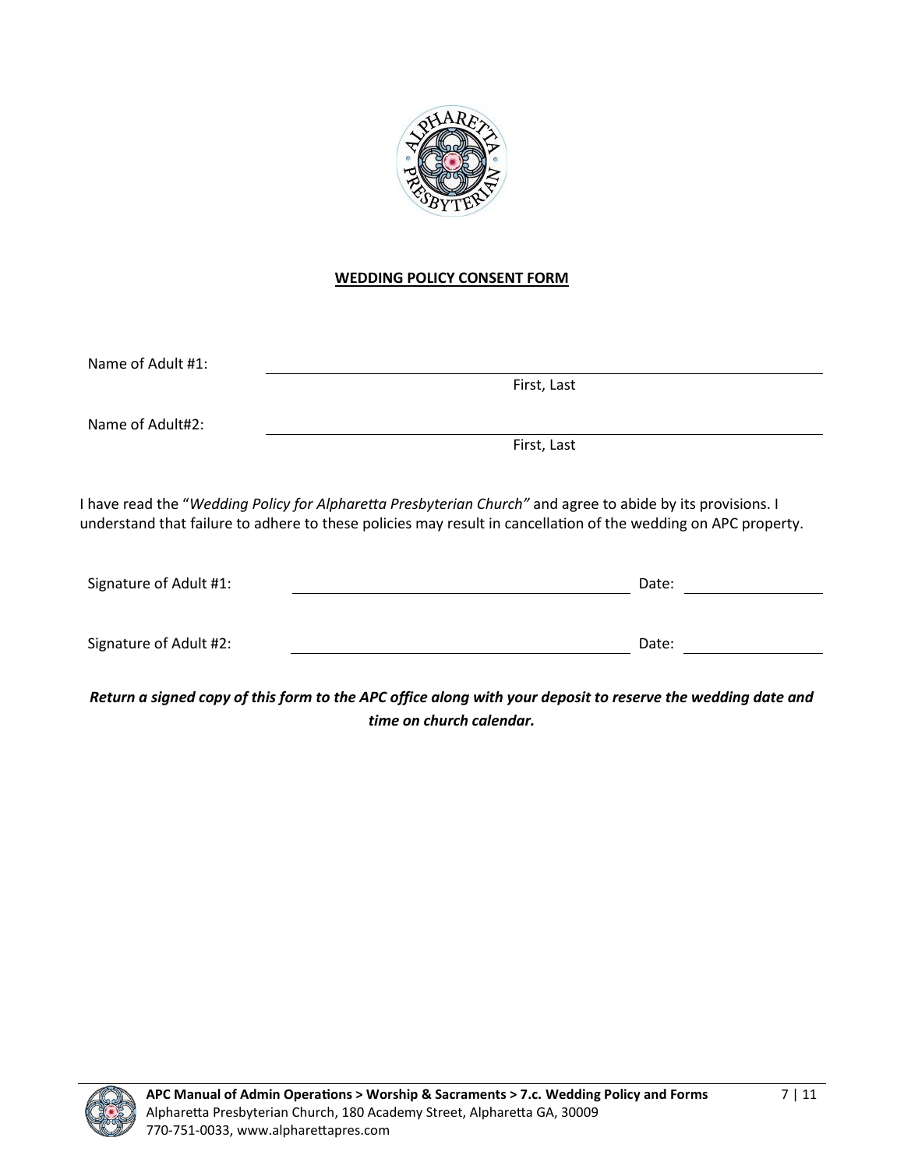

#### **WEDDING POLICY CONSENT FORM**

<span id="page-6-0"></span>

| Name of Adult #1: |             |  |  |
|-------------------|-------------|--|--|
|                   | First, Last |  |  |
| Name of Adult#2:  |             |  |  |

First, Last

I have read the "*Wedding Policy for Alpharetta Presbyterian Church"* and agree to abide by its provisions. I understand that failure to adhere to these policies may result in cancellation of the wedding on APC property.

| Signature of Adult #1: | Date: |
|------------------------|-------|
|                        |       |
| Signature of Adult #2: | Date: |
|                        |       |

*Return a signed copy of this form to the APC office along with your deposit to reserve the wedding date and time on church calendar.*

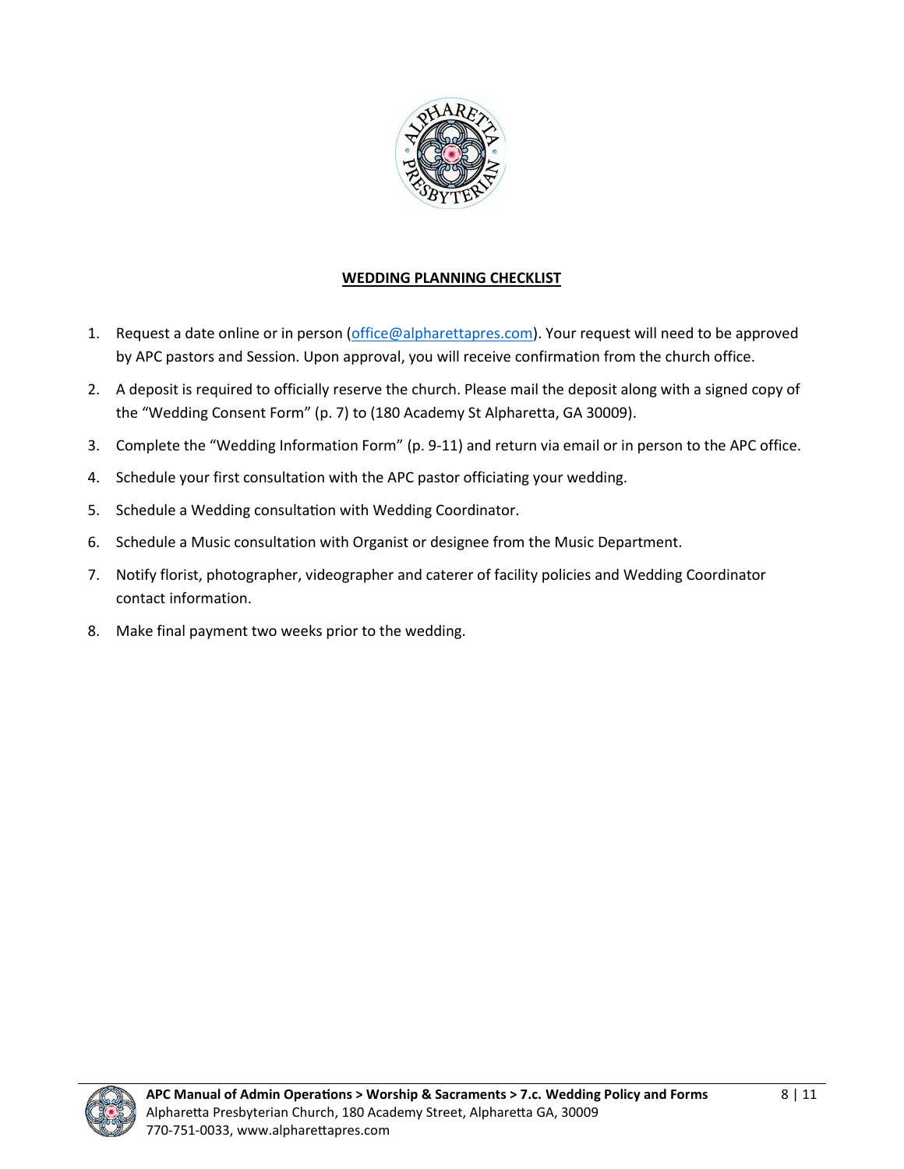

#### **WEDDING PLANNING CHECKLIST**

- <span id="page-7-0"></span>1. Request a date online or in person [\(office@alpharettapres.com\)](mailto:office@alpharettapres.com). Your request will need to be approved by APC pastors and Session. Upon approval, you will receive confirmation from the church office.
- 2. A deposit is required to officially reserve the church. Please mail the deposit along with a signed copy of the "Wedding Consent Form" (p. 7) to (180 Academy St Alpharetta, GA 30009).
- 3. Complete the "Wedding Information Form" (p. 9-11) and return via email or in person to the APC office.
- 4. Schedule your first consultation with the APC pastor officiating your wedding.
- 5. Schedule a Wedding consultation with Wedding Coordinator.
- 6. Schedule a Music consultation with Organist or designee from the Music Department.
- 7. Notify florist, photographer, videographer and caterer of facility policies and Wedding Coordinator contact information.
- 8. Make final payment two weeks prior to the wedding.

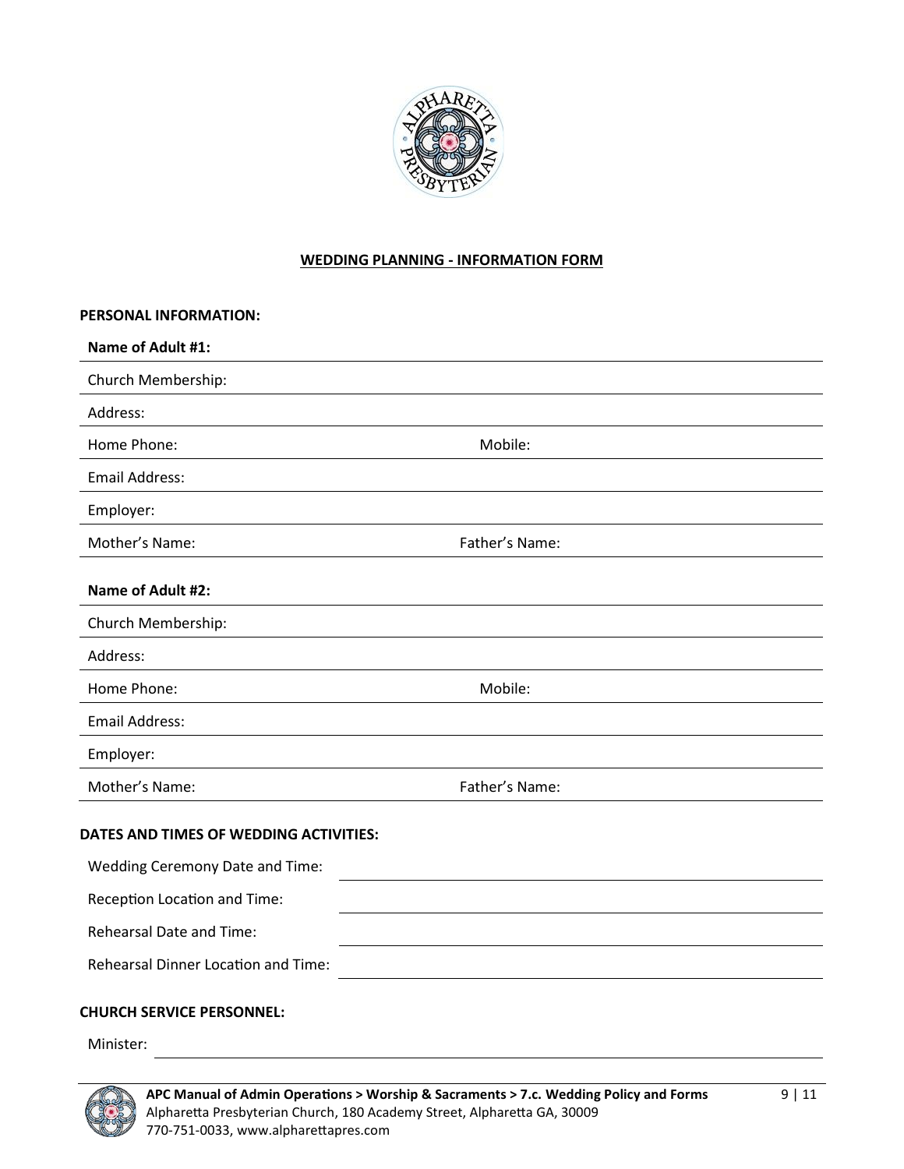

#### **WEDDING PLANNING - INFORMATION FORM**

<span id="page-8-0"></span>

| PERSONAL INFORMATION:                         |                |  |
|-----------------------------------------------|----------------|--|
| Name of Adult #1:                             |                |  |
| Church Membership:                            |                |  |
| Address:                                      |                |  |
| Home Phone:                                   | Mobile:        |  |
| <b>Email Address:</b>                         |                |  |
| Employer:                                     |                |  |
| Mother's Name:                                | Father's Name: |  |
| Name of Adult #2:                             |                |  |
| Church Membership:                            |                |  |
| Address:                                      |                |  |
| Home Phone:                                   | Mobile:        |  |
| <b>Email Address:</b>                         |                |  |
| Employer:                                     |                |  |
| Mother's Name:                                | Father's Name: |  |
| DATES AND TIMES OF WEDDING ACTIVITIES:        |                |  |
| Wedding Ceremony Date and Time:               |                |  |
| Reception Location and Time:                  |                |  |
| <b>Rehearsal Date and Time:</b>               |                |  |
| Rehearsal Dinner Location and Time:           |                |  |
| <b>CHURCH SERVICE PERSONNEL:</b><br>Minister: |                |  |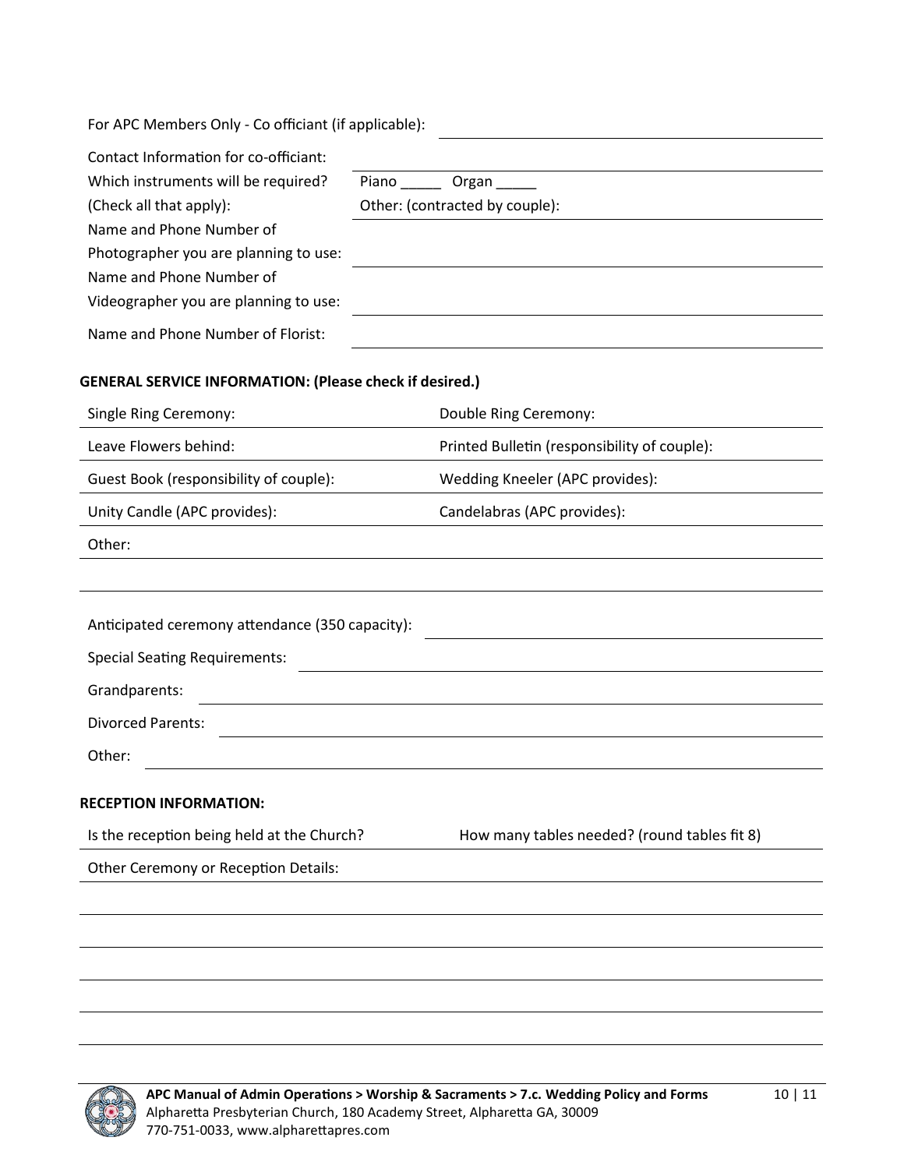| For APC Members Only - Co officiant (if applicable):           |                                              |  |
|----------------------------------------------------------------|----------------------------------------------|--|
| Contact Information for co-officiant:                          |                                              |  |
| Which instruments will be required?                            | Organ<br>Piano ______                        |  |
| (Check all that apply):                                        | Other: (contracted by couple):               |  |
| Name and Phone Number of                                       |                                              |  |
| Photographer you are planning to use:                          |                                              |  |
| Name and Phone Number of                                       |                                              |  |
| Videographer you are planning to use:                          |                                              |  |
| Name and Phone Number of Florist:                              |                                              |  |
| <b>GENERAL SERVICE INFORMATION: (Please check if desired.)</b> |                                              |  |
| Single Ring Ceremony:                                          | Double Ring Ceremony:                        |  |
| Leave Flowers behind:                                          | Printed Bulletin (responsibility of couple): |  |

| Guest Book (responsibility of couple): | Wedding Kneeler (APC provides): |
|----------------------------------------|---------------------------------|
| Unity Candle (APC provides):           | Candelabras (APC provides):     |

| ı<br>۰, |  |
|---------|--|
|---------|--|

| How many tables needed? (round tables fit 8) |
|----------------------------------------------|
|                                              |
|                                              |
|                                              |
|                                              |
|                                              |